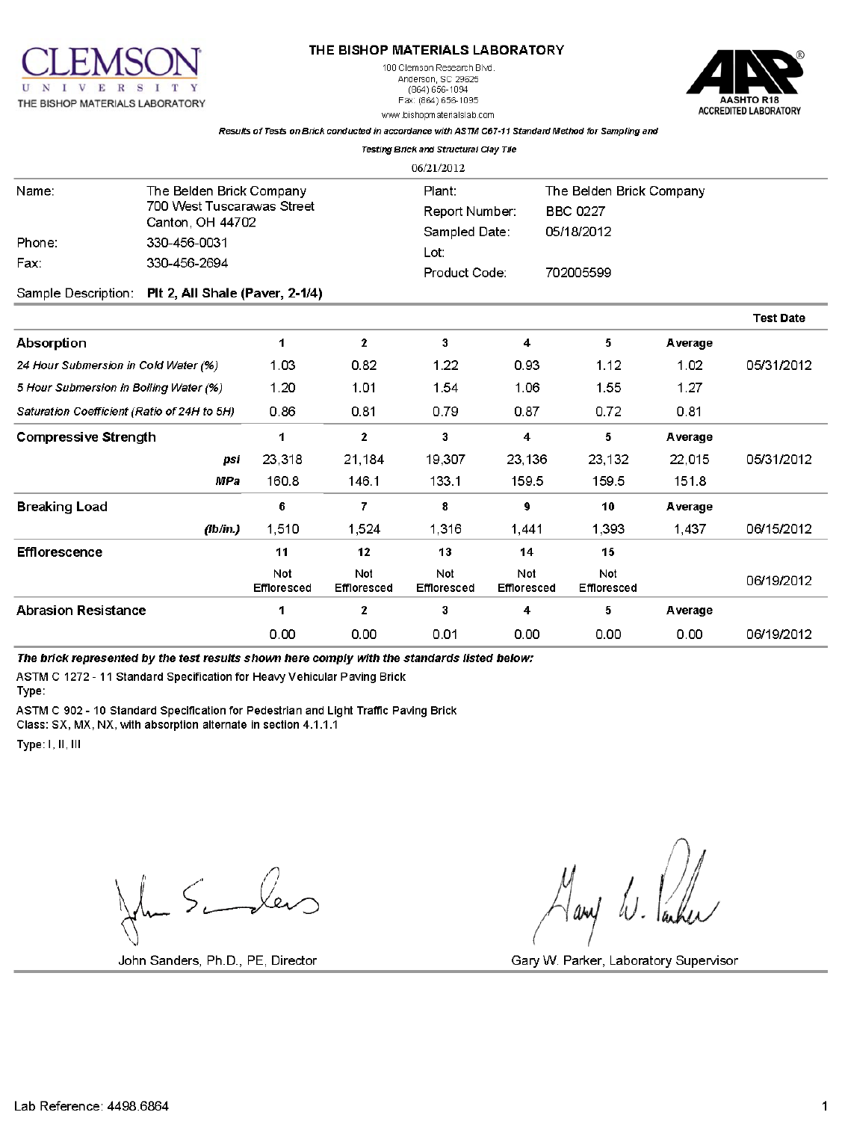

### THE BISHOP MATERIALS LABORATORY

100 Clemson Research Blvd. Anderson, SC 29625  $(864) 656 - 1094$ Fax: (864) 656-1095 www.bishopmaterialslab.com



Results of Tests on Brick conducted in accordance with ASTM C67-11 Standard Method for Sampling and **Testing Brick and Structural Clay Tile** 

|                                             |                                 |                    |                           | 06/21/2012               |                           |                                             |         |                  |  |
|---------------------------------------------|---------------------------------|--------------------|---------------------------|--------------------------|---------------------------|---------------------------------------------|---------|------------------|--|
| Name:                                       | The Belden Brick Company        |                    |                           | Plant:<br>Report Number: |                           | The Belden Brick Company<br><b>BBC 0227</b> |         |                  |  |
| 700 West Tuscarawas Street                  |                                 |                    |                           |                          |                           |                                             |         |                  |  |
|                                             | Canton, OH 44702                |                    |                           | Sampled Date:            |                           | 05/18/2012                                  |         |                  |  |
| Phone:                                      | 330-456-0031                    |                    |                           | Lot:                     |                           |                                             |         |                  |  |
| Fax:                                        | 330-456-2694                    |                    |                           | Product Code:            |                           | 702005599                                   |         |                  |  |
| Sample Description:                         | Plt 2, All Shale (Paver, 2-1/4) |                    |                           |                          |                           |                                             |         |                  |  |
|                                             |                                 |                    |                           |                          |                           |                                             |         | <b>Test Date</b> |  |
| <b>Absorption</b>                           |                                 | 1                  | $\mathbf{2}$              | 3                        | 4                         | 5                                           | Average |                  |  |
| 24 Hour Submersion in Cold Water (%)        |                                 | 1.03               | 0.82                      | 1.22                     | 0.93                      | 1.12                                        | 1.02    | 05/31/2012       |  |
| 5 Hour Submersion in Boiling Water (%)      |                                 | 1.20               | 1.01                      | 1.54                     | 1.06                      | 1.55                                        | 1.27    |                  |  |
| Saturation Coefficient (Ratio of 24H to 5H) |                                 | 0.86               | 0.81                      | 0.79                     | 0.87                      | 0.72                                        | 0.81    |                  |  |
| <b>Compressive Strength</b>                 |                                 | 1                  | $\mathbf 2$               | 3                        | $\overline{\mathbf{4}}$   | 5                                           | Average |                  |  |
|                                             | psi                             | 23,318             | 21,184                    | 19,307                   | 23,136                    | 23,132                                      | 22,015  | 05/31/2012       |  |
|                                             | <b>MPa</b>                      | 160.8              | 146.1                     | 133.1                    | 159.5                     | 159.5                                       | 151.8   |                  |  |
| <b>Breaking Load</b>                        |                                 | 6                  | 7                         | 8                        | 9                         | 10                                          | Average |                  |  |
|                                             | (lb/in.)                        | 1,510              | 1,524                     | 1,316                    | 1,441                     | 1,393                                       | 1,437   | 06/15/2012       |  |
| <b>Efflorescence</b>                        |                                 | 11                 | 12                        | 13                       | 14                        | 15                                          |         |                  |  |
|                                             |                                 | Not<br>Effloresced | Not<br><b>Effloresced</b> | Not<br>Effloresced       | Not<br><b>Effloresced</b> | Not<br>Effloresced                          |         | 06/19/2012       |  |
| <b>Abrasion Resistance</b>                  |                                 | 1                  | $\mathbf{2}$              | 3                        | 4                         | 5                                           | Average |                  |  |
|                                             |                                 | 0.00               | 0.00                      | 0.01                     | 0.00                      | 0.00                                        | 0.00    | 06/19/2012       |  |

The brick represented by the test results shown here comply with the standards listed below:

ASTM C 1272 - 11 Standard Specification for Heavy Vehicular Paving Brick

Type:

ASTM C 902 - 10 Standard Specification for Pedestrian and Light Traffic Paving Brick

Class: SX, MX, NX, with absorption alternate in section 4.1.1.1

Type: I, II, III

 $\ln 5$  ber

John Sanders, Ph.D., PE, Director

any W. Parker

Gary W. Parker, Laboratory Supervisor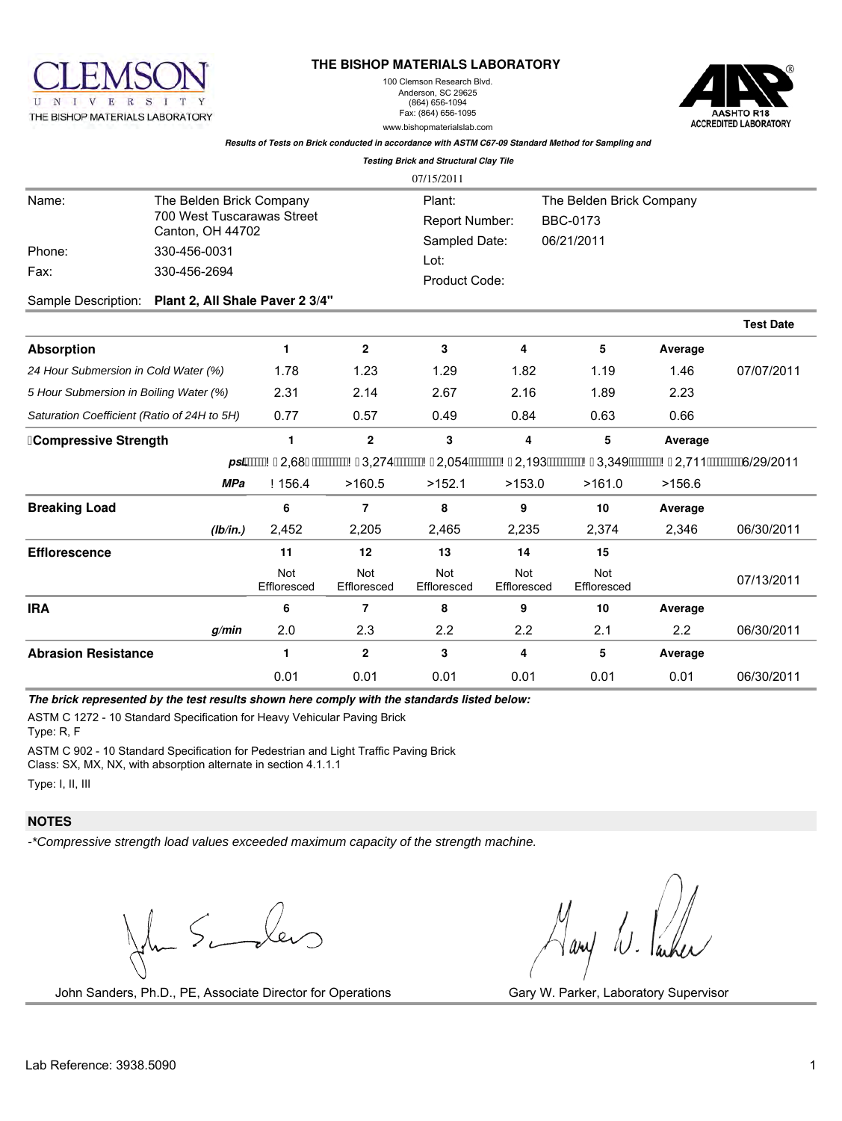

#### **THE BISHOP MATERIALS LABORATORY**

100 Clemson Research Blvd. Anderson, SC 29625 (864) 656-1094 Fax: (864) 656-1095 www.bishopmaterialslab.com



### *Results of Tests on Brick conducted in accordance with ASTM C67-09 Standard Method for Sampling and*

|                                             |                                                                                                            |                    |                    | <b>Testing Brick and Structural Clay Tile</b>                      |                           |                                                                                             |         |                  |
|---------------------------------------------|------------------------------------------------------------------------------------------------------------|--------------------|--------------------|--------------------------------------------------------------------|---------------------------|---------------------------------------------------------------------------------------------|---------|------------------|
|                                             |                                                                                                            |                    |                    | 07/15/2011                                                         |                           |                                                                                             |         |                  |
| Name:<br>Phone:<br>Fax:                     | The Belden Brick Company<br>700 West Tuscarawas Street<br>Canton, OH 44702<br>330-456-0031<br>330-456-2694 |                    |                    | Plant:<br>Report Number:<br>Sampled Date:<br>Lot:<br>Product Code: |                           | The Belden Brick Company<br><b>BBC-0173</b><br>06/21/2011                                   |         |                  |
| Sample Description:                         | Plant 2, All Shale Paver 2 3/4"                                                                            |                    |                    |                                                                    |                           |                                                                                             |         |                  |
|                                             |                                                                                                            |                    |                    |                                                                    |                           |                                                                                             |         | <b>Test Date</b> |
| <b>Absorption</b>                           |                                                                                                            | $\mathbf{1}$       | $\mathbf{2}$       | 3                                                                  | 4                         | 5                                                                                           | Average |                  |
| 24 Hour Submersion in Cold Water (%)        |                                                                                                            | 1.78               | 1.23               | 1.29                                                               | 1.82                      | 1.19                                                                                        | 1.46    | 07/07/2011       |
| 5 Hour Submersion in Boiling Water (%)      |                                                                                                            | 2.31               | 2.14               | 2.67                                                               | 2.16                      | 1.89                                                                                        | 2.23    |                  |
| Saturation Coefficient (Ratio of 24H to 5H) |                                                                                                            | 0.77               | 0.57               | 0.49                                                               | 0.84                      | 0.63                                                                                        | 0.66    |                  |
| ∤Compressive Strength                       |                                                                                                            | 1                  | $\mathbf{2}$       | 3                                                                  | 4                         | 5                                                                                           | Average |                  |
|                                             |                                                                                                            |                    |                    |                                                                    |                           | ps]/WWAXC2,681 /WWWWAXC3,274/WWWAXC2,054/WWWAXC2,193/WWWWAXC3,349/WWWAXC2,711/WWWW6/29/2011 |         |                  |
|                                             | <b>MPa</b>                                                                                                 | N <sub>156.4</sub> | >160.5             | >152.1                                                             | >153.0                    | >161.0                                                                                      | >156.6  |                  |
| <b>Breaking Load</b>                        |                                                                                                            | 6                  | $\overline{7}$     | 8                                                                  | 9                         | 10                                                                                          | Average |                  |
|                                             | (lb/in.)                                                                                                   | 2,452              | 2,205              | 2,465                                                              | 2,235                     | 2,374                                                                                       | 2.346   | 06/30/2011       |
| <b>Efflorescence</b>                        |                                                                                                            | 11                 | 12                 | 13                                                                 | 14                        | 15                                                                                          |         |                  |
|                                             |                                                                                                            | Not<br>Effloresced | Not<br>Effloresced | <b>Not</b><br>Effloresced                                          | <b>Not</b><br>Effloresced | Not<br>Effloresced                                                                          |         | 07/13/2011       |
| <b>IRA</b>                                  |                                                                                                            | 6                  | 7                  | 8                                                                  | 9                         | 10                                                                                          | Average |                  |
|                                             | q/min                                                                                                      | 2.0                | 2.3                | 2.2                                                                | 2.2                       | 2.1                                                                                         | 2.2     | 06/30/2011       |
| <b>Abrasion Resistance</b>                  |                                                                                                            | $\mathbf{1}$       | $\mathbf{2}$       | 3                                                                  | 4                         | 5                                                                                           | Average |                  |
|                                             |                                                                                                            | 0.01               | 0.01               | 0.01                                                               | 0.01                      | 0.01                                                                                        | 0.01    | 06/30/2011       |

*The brick represented by the test results shown here comply with the standards listed below:*

ASTM C 1272 - 10 Standard Specification for Heavy Vehicular Paving Brick

Type: R, F

ASTM C 902 - 10 Standard Specification for Pedestrian and Light Traffic Paving Brick

Class: SX, MX, NX, with absorption alternate in section 4.1.1.1

Type: I, II, III

# **NOTES**

*-\*Compressive strength load values exceeded maximum capacity of the strength machine.*

 $\ln 5$  ber

John Sanders, Ph.D., PE, Associate Director for Operations Gary W. Parker, Laboratory Supervisor

Hary W. Parker